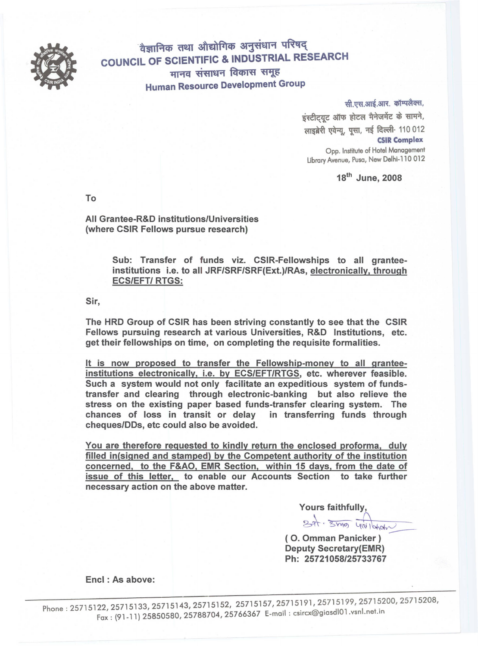

वैज्ञानिक तथा औद्योगिक अनुसंधान परिषद् **COUNCIL OF SCIENTIFIC & INDUSTRIAL RESEARCH** मानव संसाधन विकास समूह **Human Resource Development Group** 

> सी.एस.आई.आर. कॉम्पलैक्स, इंस्टीट्यूट ऑफ होटल भैनेजमेंट के सामने, लाइब्रेरी एवेन्यु, पुसा, नई दिल्ली- 110 012 **CSIR Complex** Opp. Institute of Hotel Management Library Avenue, Pusa, New Delhi-110 012

> > 18<sup>th</sup> June, 2008

To

All Grantee-R&D institutions/Universities (where CSIR Fellows pursue research)

> Sub: Transfer of funds viz. CSIR-Fellowships to all granteeinstitutions i.e. to all JRF/SRF/SRF(Ext.)/RAs, electronically, through **ECS/EFT/ RTGS:**

Sir,

The HRD Group of CSIR has been striving constantly to see that the CSIR Fellows pursuing research at various Universities, R&D Institutions, etc. get their fellowships on time, on completing the requisite formalities.

It is now proposed to transfer the Fellowship-money to all granteeinstitutions electronically, i.e. by ECS/EFT/RTGS, etc. wherever feasible. Such a system would not only facilitate an expeditious system of fundstransfer and clearing through electronic-banking but also relieve the stress on the existing paper based funds-transfer clearing system. The chances of loss in transit or delay in transferring funds through cheques/DDs, etc could also be avoided.

You are therefore requested to kindly return the enclosed proforma, duly filled in(signed and stamped) by the Competent authority of the institution concerned, to the F&AO, EMR Section, within 15 days, from the date of issue of this letter, to enable our Accounts Section to take further necessary action on the above matter.

(O. Omman Panicker) **Deputy Secretary(EMR)** Ph: 25721058/25733767

Encl: As above: